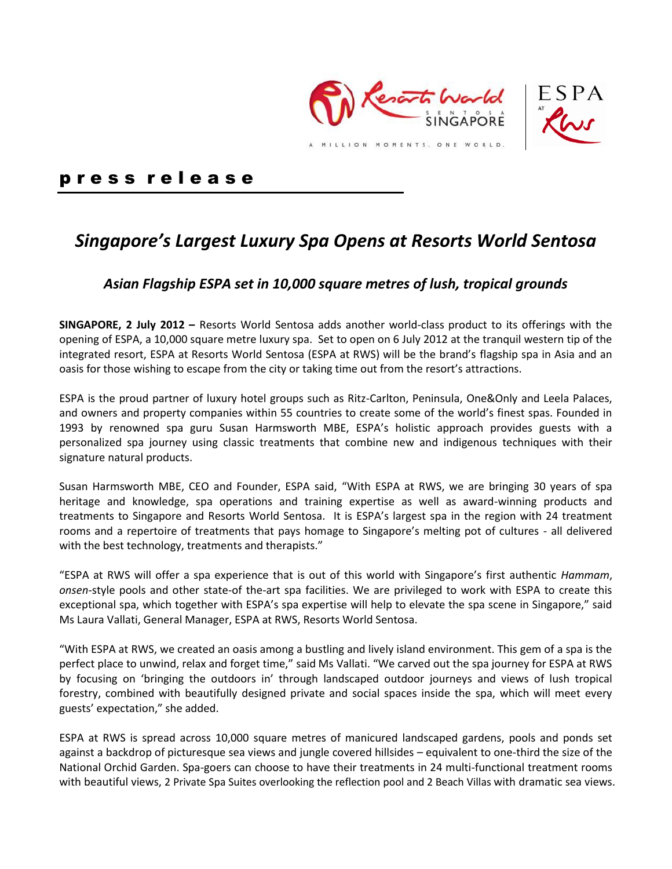

## p r e s s r e l e a s e

# *Singapore's Largest Luxury Spa Opens at Resorts World Sentosa*

### *Asian Flagship ESPA set in 10,000 square metres of lush, tropical grounds*

**SINGAPORE, 2 July 2012 –** Resorts World Sentosa adds another world-class product to its offerings with the opening of ESPA, a 10,000 square metre luxury spa. Set to open on 6 July 2012 at the tranquil western tip of the integrated resort, ESPA at Resorts World Sentosa (ESPA at RWS) will be the brand's flagship spa in Asia and an oasis for those wishing to escape from the city or taking time out from the resort's attractions.

ESPA is the proud partner of luxury hotel groups such as Ritz-Carlton, Peninsula, One&Only and Leela Palaces, and owners and property companies within 55 countries to create some of the world's finest spas. Founded in 1993 by renowned spa guru Susan Harmsworth MBE, ESPA's holistic approach provides guests with a personalized spa journey using classic treatments that combine new and indigenous techniques with their signature natural products.

Susan Harmsworth MBE, CEO and Founder, ESPA said, "With ESPA at RWS, we are bringing 30 years of spa heritage and knowledge, spa operations and training expertise as well as award-winning products and treatments to Singapore and Resorts World Sentosa. It is ESPA's largest spa in the region with 24 treatment rooms and a repertoire of treatments that pays homage to Singapore's melting pot of cultures - all delivered with the best technology, treatments and therapists."

"ESPA at RWS will offer a spa experience that is out of this world with Singapore's first authentic *Hammam*, *onsen*-style pools and other state-of the-art spa facilities. We are privileged to work with ESPA to create this exceptional spa, which together with ESPA's spa expertise will help to elevate the spa scene in Singapore," said Ms Laura Vallati, General Manager, ESPA at RWS, Resorts World Sentosa.

"With ESPA at RWS, we created an oasis among a bustling and lively island environment. This gem of a spa is the perfect place to unwind, relax and forget time," said Ms Vallati. "We carved out the spa journey for ESPA at RWS by focusing on 'bringing the outdoors in' through landscaped outdoor journeys and views of lush tropical forestry, combined with beautifully designed private and social spaces inside the spa, which will meet every guests' expectation," she added.

ESPA at RWS is spread across 10,000 square metres of manicured landscaped gardens, pools and ponds set against a backdrop of picturesque sea views and jungle covered hillsides – equivalent to one-third the size of the National Orchid Garden. Spa-goers can choose to have their treatments in 24 multi-functional treatment rooms with beautiful views, 2 Private Spa Suites overlooking the reflection pool and 2 Beach Villas with dramatic sea views.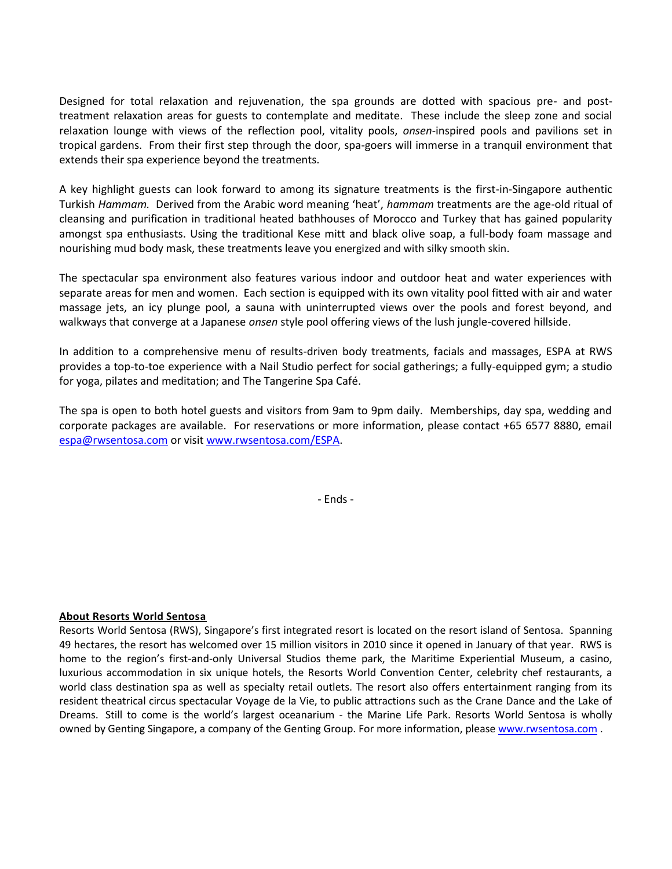Designed for total relaxation and rejuvenation, the spa grounds are dotted with spacious pre- and posttreatment relaxation areas for guests to contemplate and meditate. These include the sleep zone and social relaxation lounge with views of the reflection pool, vitality pools, *onsen*-inspired pools and pavilions set in tropical gardens. From their first step through the door, spa-goers will immerse in a tranquil environment that extends their spa experience beyond the treatments.

A key highlight guests can look forward to among its signature treatments is the first-in-Singapore authentic Turkish *Hammam.* Derived from the Arabic word meaning 'heat', *hammam* treatments are the age-old ritual of cleansing and purification in traditional heated bathhouses of Morocco and Turkey that has gained popularity amongst spa enthusiasts. Using the traditional Kese mitt and black olive soap, a full-body foam massage and nourishing mud body mask, these treatments leave you energized and with silky smooth skin.

The spectacular spa environment also features various indoor and outdoor heat and water experiences with separate areas for men and women. Each section is equipped with its own vitality pool fitted with air and water massage jets, an icy plunge pool, a sauna with uninterrupted views over the pools and forest beyond, and walkways that converge at a Japanese *onsen* style pool offering views of the lush jungle-covered hillside.

In addition to a comprehensive menu of results-driven body treatments, facials and massages, ESPA at RWS provides a top-to-toe experience with a Nail Studio perfect for social gatherings; a fully-equipped gym; a studio for yoga, pilates and meditation; and The Tangerine Spa Café.

The spa is open to both hotel guests and visitors from 9am to 9pm daily. Memberships, day spa, wedding and corporate packages are available. For reservations or more information, please contact +65 6577 8880, email [espa@rwsentosa.com](mailto:espa@rwsentosa.com) or visit [www.rwsentosa.com/ESPA.](http://www.rwsentosa.com/ESPA)

- Ends -

#### **About Resorts World Sentosa**

Resorts World Sentosa (RWS), Singapore's first integrated resort is located on the resort island of Sentosa. Spanning 49 hectares, the resort has welcomed over 15 million visitors in 2010 since it opened in January of that year. RWS is home to the region's first-and-only Universal Studios theme park, the Maritime Experiential Museum, a casino, luxurious accommodation in six unique hotels, the Resorts World Convention Center, celebrity chef restaurants, a world class destination spa as well as specialty retail outlets. The resort also offers entertainment ranging from its resident theatrical circus spectacular Voyage de la Vie, to public attractions such as the Crane Dance and the Lake of Dreams. Still to come is the world's largest oceanarium - the Marine Life Park. Resorts World Sentosa is wholly owned by Genting Singapore, a company of the Genting Group. For more information, please [www.rwsentosa.com](http://www.rwsentosa.com/).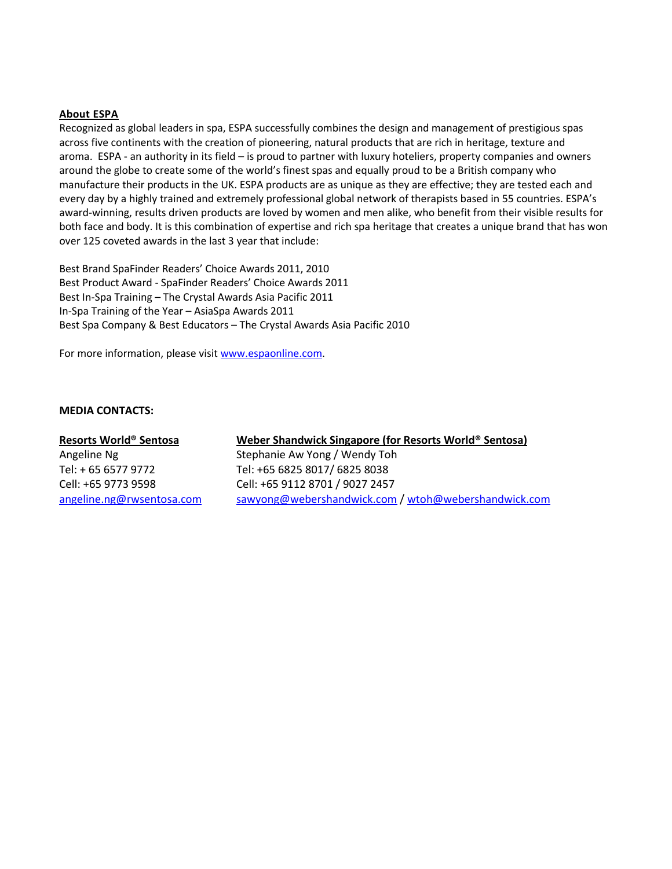#### **About ESPA**

Recognized as global leaders in spa, ESPA successfully combines the design and management of prestigious spas across five continents with the creation of pioneering, natural products that are rich in heritage, texture and aroma. ESPA - an authority in its field – is proud to partner with luxury hoteliers, property companies and owners around the globe to create some of the world's finest spas and equally proud to be a British company who manufacture their products in the UK. ESPA products are as unique as they are effective; they are tested each and every day by a highly trained and extremely professional global network of therapists based in 55 countries. ESPA's award-winning, results driven products are loved by women and men alike, who benefit from their visible results for both face and body. It is this combination of expertise and rich spa heritage that creates a unique brand that has won over 125 coveted awards in the last 3 year that include:

Best Brand SpaFinder Readers' Choice Awards 2011, 2010 Best Product Award - SpaFinder Readers' Choice Awards 2011 Best In-Spa Training – The Crystal Awards Asia Pacific 2011 In-Spa Training of the Year – AsiaSpa Awards 2011 Best Spa Company & Best Educators – The Crystal Awards Asia Pacific 2010

For more information, please visi[t www.espaonline.com.](http://www.espaonline.com/)

#### **MEDIA CONTACTS:**

## **Resorts World® Sentosa**

Angeline Ng Tel: + 65 6577 9772 Cell: +65 9773 9598 [angeline.ng@rwsentosa.com](mailto:Angeline.ng@rwsentosa.com)

#### **Weber Shandwick Singapore (for Resorts World® Sentosa)**  Stephanie Aw Yong / Wendy Toh

Tel: +65 6825 8017/ 6825 8038 Cell: +65 9112 8701 / 9027 2457 [sawyong@webershandwick.com](mailto:sawyong@webershandwick.com) / [wtoh@webershandwick.com](mailto:wtoh@webershandwick.com)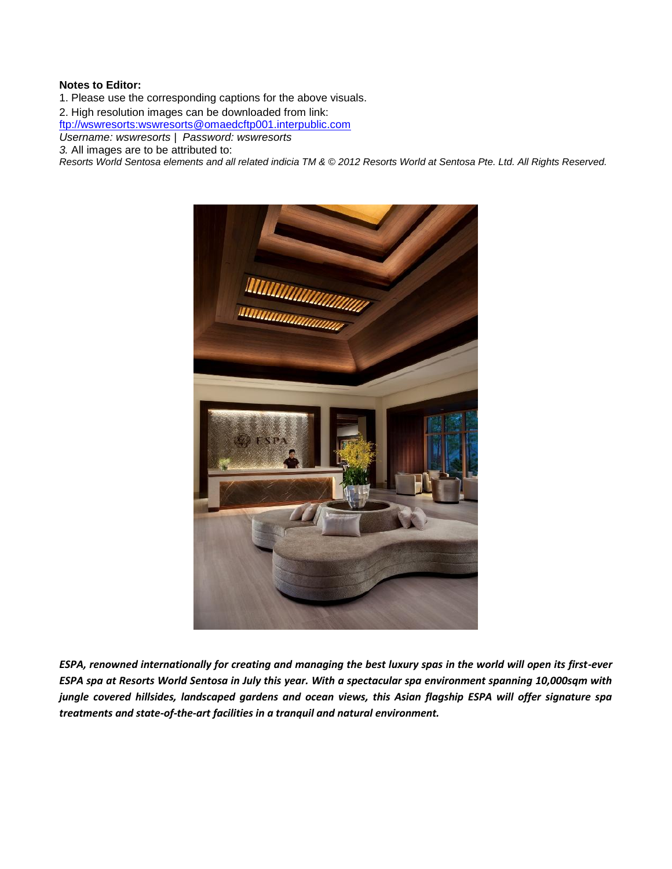#### **Notes to Editor:**

1. Please use the corresponding captions for the above visuals.

2. High resolution images can be downloaded from link:

[ftp://wswresorts:wswresorts@omaedcftp001.interpublic.com](ftp://wswresorts:wswresorts@omaedcftp001.interpublic.com/) 

*Username: wswresorts* | *Password: wswresorts* 

*3.* All images are to be attributed to:

*Resorts World Sentosa elements and all related indicia TM & © 2012 Resorts World at Sentosa Pte. Ltd. All Rights Reserved.*



*ESPA, renowned internationally for creating and managing the best luxury spas in the world will open its first-ever ESPA spa at Resorts World Sentosa in July this year. With a spectacular spa environment spanning 10,000sqm with jungle covered hillsides, landscaped gardens and ocean views, this Asian flagship ESPA will offer signature spa treatments and state-of-the-art facilities in a tranquil and natural environment.*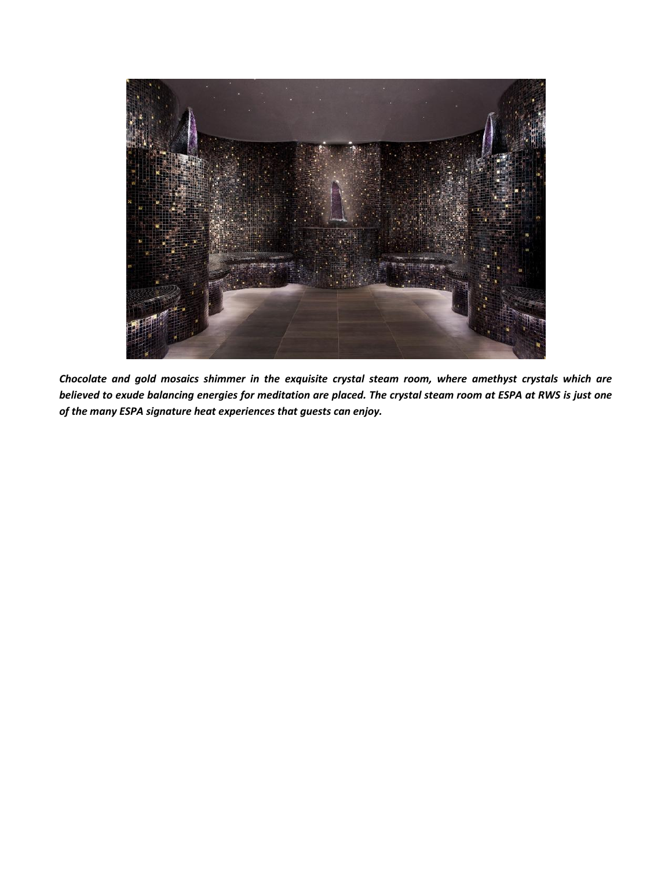

*Chocolate and gold mosaics shimmer in the exquisite crystal steam room, where amethyst crystals which are believed to exude balancing energies for meditation are placed. The crystal steam room at ESPA at RWS is just one of the many ESPA signature heat experiences that guests can enjoy.*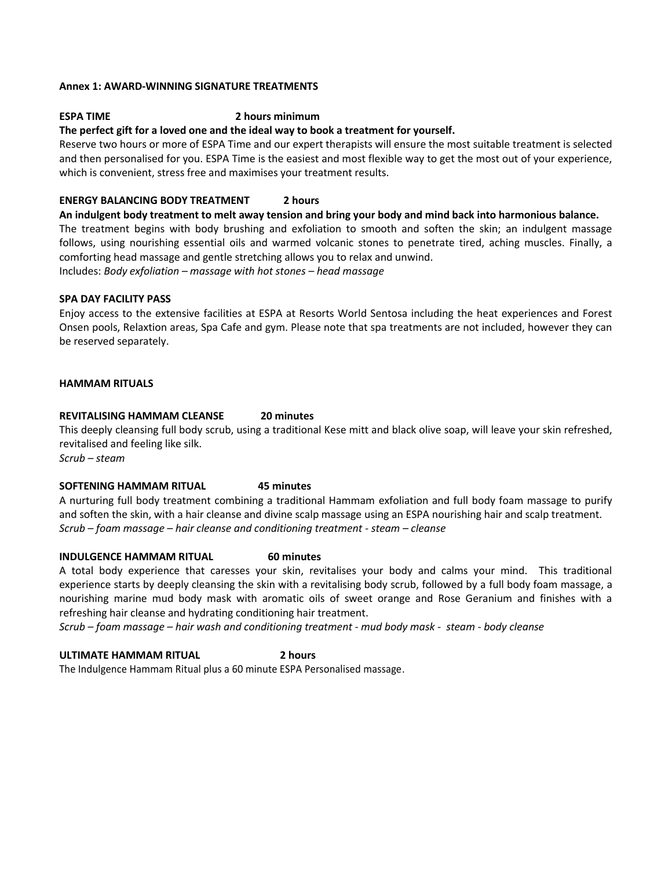#### **Annex 1: AWARD-WINNING SIGNATURE TREATMENTS**

#### **ESPA TIME 2 hours minimum**

#### **The perfect gift for a loved one and the ideal way to book a treatment for yourself.**

Reserve two hours or more of ESPA Time and our expert therapists will ensure the most suitable treatment is selected and then personalised for you. ESPA Time is the easiest and most flexible way to get the most out of your experience, which is convenient, stress free and maximises your treatment results.

#### **ENERGY BALANCING BODY TREATMENT 2 hours**

**An indulgent body treatment to melt away tension and bring your body and mind back into harmonious balance.**  The treatment begins with body brushing and exfoliation to smooth and soften the skin; an indulgent massage follows, using nourishing essential oils and warmed volcanic stones to penetrate tired, aching muscles. Finally, a comforting head massage and gentle stretching allows you to relax and unwind. Includes: *Body exfoliation – massage with hot stones – head massage*

#### **SPA DAY FACILITY PASS**

Enjoy access to the extensive facilities at ESPA at Resorts World Sentosa including the heat experiences and Forest Onsen pools, Relaxtion areas, Spa Cafe and gym. Please note that spa treatments are not included, however they can be reserved separately.

#### **HAMMAM RITUALS**

#### **REVITALISING HAMMAM CLEANSE 20 minutes**

This deeply cleansing full body scrub, using a traditional Kese mitt and black olive soap, will leave your skin refreshed, revitalised and feeling like silk.

*Scrub – steam*

#### **SOFTENING HAMMAM RITUAL 45 minutes**

A nurturing full body treatment combining a traditional Hammam exfoliation and full body foam massage to purify and soften the skin, with a hair cleanse and divine scalp massage using an ESPA nourishing hair and scalp treatment. *Scrub – foam massage – hair cleanse and conditioning treatment - steam – cleanse* 

#### **INDULGENCE HAMMAM RITUAL 60 minutes**

A total body experience that caresses your skin, revitalises your body and calms your mind. This traditional experience starts by deeply cleansing the skin with a revitalising body scrub, followed by a full body foam massage, a nourishing marine mud body mask with aromatic oils of sweet orange and Rose Geranium and finishes with a refreshing hair cleanse and hydrating conditioning hair treatment.

*Scrub – foam massage – hair wash and conditioning treatment - mud body mask - steam - body cleanse* 

#### **ULTIMATE HAMMAM RITUAL 2 hours**

The Indulgence Hammam Ritual plus a 60 minute ESPA Personalised massage.